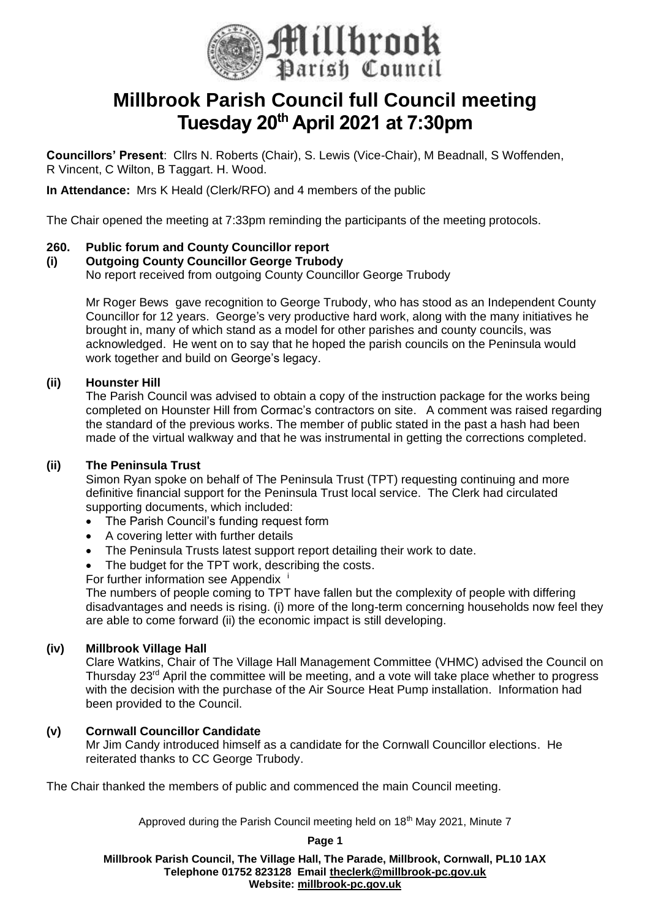

# **Millbrook Parish Council full Council meeting Tuesday 20th April 2021 at 7:30pm**

**Councillors' Present**: Cllrs N. Roberts (Chair), S. Lewis (Vice-Chair), M Beadnall, S Woffenden, R Vincent, C Wilton, B Taggart. H. Wood.

**In Attendance:** Mrs K Heald (Clerk/RFO) and 4 members of the public

The Chair opened the meeting at 7:33pm reminding the participants of the meeting protocols.

# **260. Public forum and County Councillor report**

# **(i) Outgoing County Councillor George Trubody**

No report received from outgoing County Councillor George Trubody

Mr Roger Bews gave recognition to George Trubody, who has stood as an Independent County Councillor for 12 years. George's very productive hard work, along with the many initiatives he brought in, many of which stand as a model for other parishes and county councils, was acknowledged. He went on to say that he hoped the parish councils on the Peninsula would work together and build on George's legacy.

# **(ii) Hounster Hill**

The Parish Council was advised to obtain a copy of the instruction package for the works being completed on Hounster Hill from Cormac's contractors on site. A comment was raised regarding the standard of the previous works. The member of public stated in the past a hash had been made of the virtual walkway and that he was instrumental in getting the corrections completed.

# **(ii) The Peninsula Trust**

Simon Ryan spoke on behalf of The Peninsula Trust (TPT) requesting continuing and more definitive financial support for the Peninsula Trust local service. The Clerk had circulated supporting documents, which included:

- The Parish Council's funding request form
- A covering letter with further details
- The Peninsula Trusts latest support report detailing their work to date.
- The budget for the TPT work, describing the costs.

For further information see Appendix

The numbers of people coming to TPT have fallen but the complexity of people with differing disadvantages and needs is rising. (i) more of the long-term concerning households now feel they are able to come forward (ii) the economic impact is still developing.

# **(iv) Millbrook Village Hall**

Clare Watkins, Chair of The Village Hall Management Committee (VHMC) advised the Council on Thursday 23rd April the committee will be meeting, and a vote will take place whether to progress with the decision with the purchase of the Air Source Heat Pump installation. Information had been provided to the Council.

# **(v) Cornwall Councillor Candidate**

Mr Jim Candy introduced himself as a candidate for the Cornwall Councillor elections. He reiterated thanks to CC George Trubody.

The Chair thanked the members of public and commenced the main Council meeting.

Approved during the Parish Council meeting held on 18<sup>th</sup> May 2021, Minute 7

**Page 1**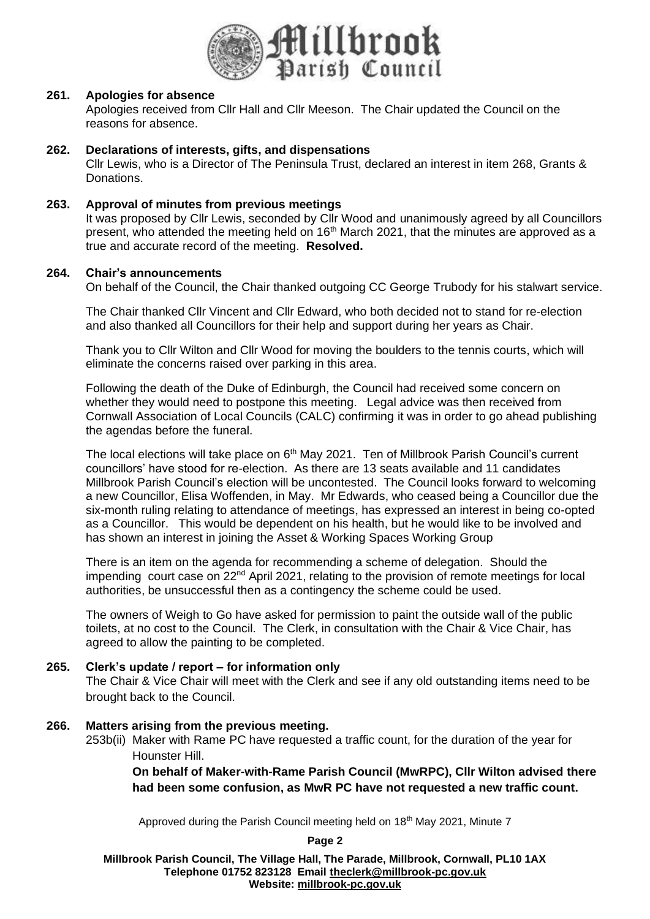

### **261. Apologies for absence**

Apologies received from Cllr Hall and Cllr Meeson. The Chair updated the Council on the reasons for absence.

### **262. Declarations of interests, gifts, and dispensations**

Cllr Lewis, who is a Director of The Peninsula Trust, declared an interest in item 268, Grants & Donations.

### **263. Approval of minutes from previous meetings**

It was proposed by Cllr Lewis, seconded by Cllr Wood and unanimously agreed by all Councillors present, who attended the meeting held on  $16<sup>th</sup>$  March 2021, that the minutes are approved as a true and accurate record of the meeting. **Resolved.**

#### **264. Chair's announcements**

On behalf of the Council, the Chair thanked outgoing CC George Trubody for his stalwart service.

The Chair thanked Cllr Vincent and Cllr Edward, who both decided not to stand for re-election and also thanked all Councillors for their help and support during her years as Chair.

Thank you to Cllr Wilton and Cllr Wood for moving the boulders to the tennis courts, which will eliminate the concerns raised over parking in this area.

Following the death of the Duke of Edinburgh, the Council had received some concern on whether they would need to postpone this meeting. Legal advice was then received from Cornwall Association of Local Councils (CALC) confirming it was in order to go ahead publishing the agendas before the funeral.

The local elections will take place on 6<sup>th</sup> May 2021. Ten of Millbrook Parish Council's current councillors' have stood for re-election. As there are 13 seats available and 11 candidates Millbrook Parish Council's election will be uncontested. The Council looks forward to welcoming a new Councillor, Elisa Woffenden, in May. Mr Edwards, who ceased being a Councillor due the six-month ruling relating to attendance of meetings, has expressed an interest in being co-opted as a Councillor. This would be dependent on his health, but he would like to be involved and has shown an interest in joining the Asset & Working Spaces Working Group

There is an item on the agenda for recommending a scheme of delegation. Should the impending court case on 22<sup>nd</sup> April 2021, relating to the provision of remote meetings for local authorities, be unsuccessful then as a contingency the scheme could be used.

The owners of Weigh to Go have asked for permission to paint the outside wall of the public toilets, at no cost to the Council. The Clerk, in consultation with the Chair & Vice Chair, has agreed to allow the painting to be completed.

# **265. Clerk's update / report – for information only**

The Chair & Vice Chair will meet with the Clerk and see if any old outstanding items need to be brought back to the Council.

#### **266. Matters arising from the previous meeting.**

253b(ii) Maker with Rame PC have requested a traffic count, for the duration of the year for Hounster Hill.

**On behalf of Maker-with-Rame Parish Council (MwRPC), Cllr Wilton advised there had been some confusion, as MwR PC have not requested a new traffic count.** 

Approved during the Parish Council meeting held on 18<sup>th</sup> May 2021, Minute 7

**Page 2**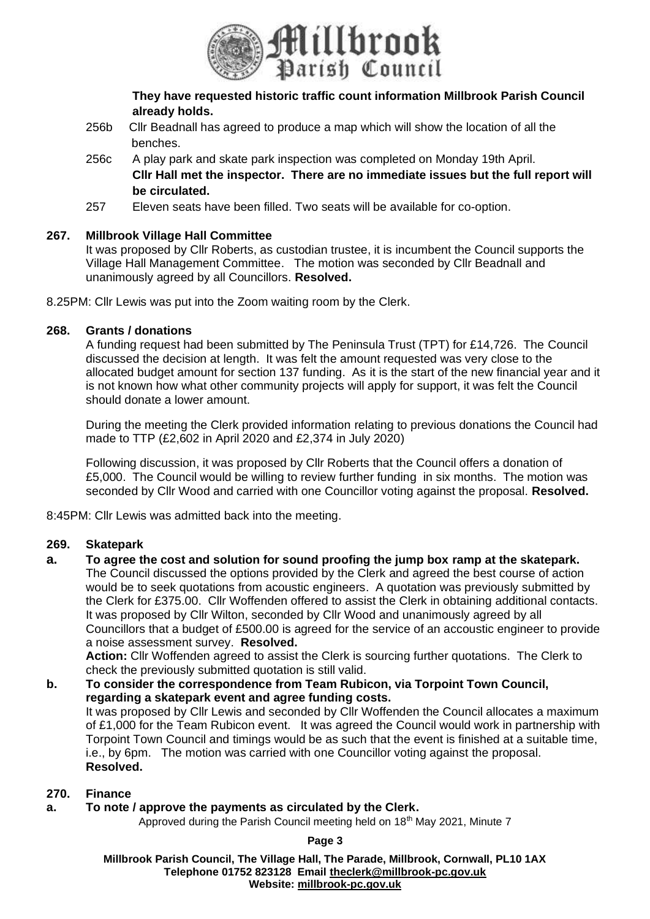

**They have requested historic traffic count information Millbrook Parish Council already holds.**

- 256b Cllr Beadnall has agreed to produce a map which will show the location of all the benches.
- 256c A play park and skate park inspection was completed on Monday 19th April. **Cllr Hall met the inspector. There are no immediate issues but the full report will be circulated.**
- 257 Eleven seats have been filled. Two seats will be available for co-option.

# **267. Millbrook Village Hall Committee**

It was proposed by Cllr Roberts, as custodian trustee, it is incumbent the Council supports the Village Hall Management Committee. The motion was seconded by Cllr Beadnall and unanimously agreed by all Councillors. **Resolved.**

8.25PM: Cllr Lewis was put into the Zoom waiting room by the Clerk.

# **268. Grants / donations**

A funding request had been submitted by The Peninsula Trust (TPT) for £14,726. The Council discussed the decision at length. It was felt the amount requested was very close to the allocated budget amount for section 137 funding. As it is the start of the new financial year and it is not known how what other community projects will apply for support, it was felt the Council should donate a lower amount.

During the meeting the Clerk provided information relating to previous donations the Council had made to TTP (£2,602 in April 2020 and £2,374 in July 2020)

Following discussion, it was proposed by Cllr Roberts that the Council offers a donation of £5,000. The Council would be willing to review further funding in six months. The motion was seconded by Cllr Wood and carried with one Councillor voting against the proposal. **Resolved.**

8:45PM: Cllr Lewis was admitted back into the meeting.

# **269. Skatepark**

**a. To agree the cost and solution for sound proofing the jump box ramp at the skatepark.** The Council discussed the options provided by the Clerk and agreed the best course of action would be to seek quotations from acoustic engineers. A quotation was previously submitted by the Clerk for £375.00. Cllr Woffenden offered to assist the Clerk in obtaining additional contacts. It was proposed by Cllr Wilton, seconded by Cllr Wood and unanimously agreed by all Councillors that a budget of £500.00 is agreed for the service of an accoustic engineer to provide a noise assessment survey. **Resolved.**

**Action:** Cllr Woffenden agreed to assist the Clerk is sourcing further quotations. The Clerk to check the previously submitted quotation is still valid.

### **b. To consider the correspondence from Team Rubicon, via Torpoint Town Council, regarding a skatepark event and agree funding costs.** It was proposed by Cllr Lewis and seconded by Cllr Woffenden the Council allocates a maximum of £1,000 for the Team Rubicon event. It was agreed the Council would work in partnership with Torpoint Town Council and timings would be as such that the event is finished at a suitable time, i.e., by 6pm. The motion was carried with one Councillor voting against the proposal. **Resolved.**

# **270. Finance**

# **a. To note / approve the payments as circulated by the Clerk.**

Approved during the Parish Council meeting held on 18<sup>th</sup> May 2021, Minute 7

**Page 3**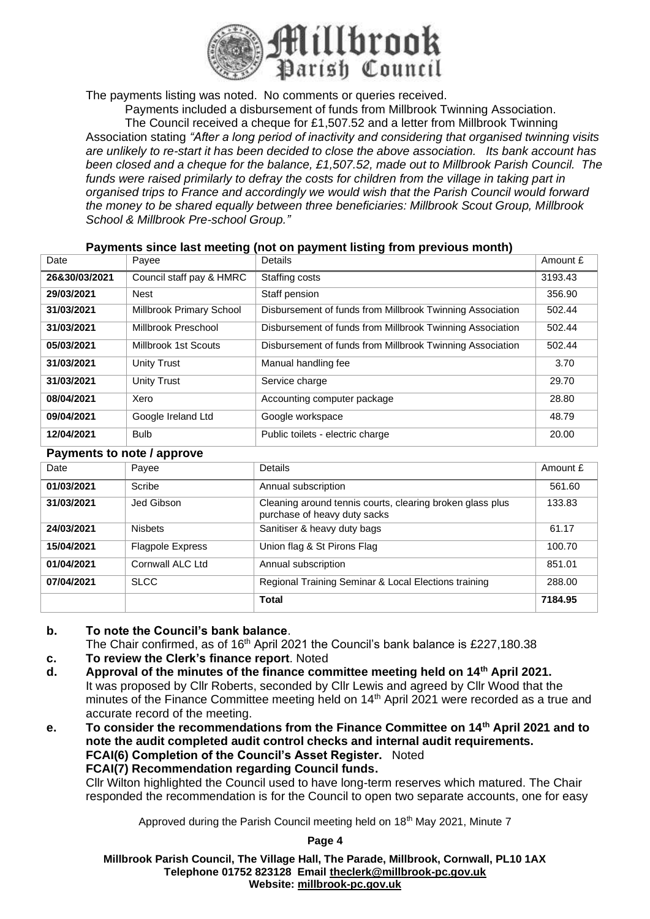

The payments listing was noted. No comments or queries received.

Payments included a disbursement of funds from Millbrook Twinning Association. The Council received a cheque for £1,507.52 and a letter from Millbrook Twinning Association stating *"After a long period of inactivity and considering that organised twinning visits are unlikely to re-start it has been decided to close the above association. Its bank account has been closed and a cheque for the balance, £1,507.52, made out to Millbrook Parish Council. The*  funds were raised primilarly to defray the costs for children from the village in taking part in *organised trips to France and accordingly we would wish that the Parish Council would forward the money to be shared equally between three beneficiaries: Millbrook Scout Group, Millbrook School & Millbrook Pre-school Group."*

### **Payments since last meeting (not on payment listing from previous month)**

| Date          | Payee                    | Details                                                   | Amount £ |
|---------------|--------------------------|-----------------------------------------------------------|----------|
| 26&30/03/2021 | Council staff pay & HMRC | Staffing costs                                            | 3193.43  |
| 29/03/2021    | Nest                     | Staff pension                                             | 356.90   |
| 31/03/2021    | Millbrook Primary School | Disbursement of funds from Millbrook Twinning Association | 502.44   |
| 31/03/2021    | Millbrook Preschool      | Disbursement of funds from Millbrook Twinning Association | 502.44   |
| 05/03/2021    | Millbrook 1st Scouts     | Disbursement of funds from Millbrook Twinning Association | 502.44   |
| 31/03/2021    | <b>Unity Trust</b>       | Manual handling fee                                       | 3.70     |
| 31/03/2021    | <b>Unity Trust</b>       | Service charge                                            | 29.70    |
| 08/04/2021    | Xero                     | Accounting computer package                               | 28.80    |
| 09/04/2021    | Google Ireland Ltd       | Google workspace                                          | 48.79    |
| 12/04/2021    | <b>Bulb</b>              | Public toilets - electric charge                          | 20.00    |

#### **Payments to note / approve**

| Date       | Payee                   | Details                                                                                   | Amount £ |
|------------|-------------------------|-------------------------------------------------------------------------------------------|----------|
| 01/03/2021 | Scribe                  | Annual subscription                                                                       | 561.60   |
| 31/03/2021 | Jed Gibson              | Cleaning around tennis courts, clearing broken glass plus<br>purchase of heavy duty sacks | 133.83   |
| 24/03/2021 | <b>Nisbets</b>          | Sanitiser & heavy duty bags                                                               | 61.17    |
| 15/04/2021 | <b>Flagpole Express</b> | Union flag & St Pirons Flag                                                               | 100.70   |
| 01/04/2021 | Cornwall ALC Ltd        | Annual subscription                                                                       | 851.01   |
| 07/04/2021 | <b>SLCC</b>             | Regional Training Seminar & Local Elections training                                      | 288.00   |
|            |                         | <b>Total</b>                                                                              | 7184.95  |

### **b. To note the Council's bank balance**.

- The Chair confirmed, as of 16<sup>th</sup> April 2021 the Council's bank balance is £227,180.38
- **c. To review the Clerk's finance report**. Noted
- **d. Approval of the minutes of the finance committee meeting held on 14th April 2021.** It was proposed by Cllr Roberts, seconded by Cllr Lewis and agreed by Cllr Wood that the minutes of the Finance Committee meeting held on 14<sup>th</sup> April 2021 were recorded as a true and accurate record of the meeting.
- **e. To consider the recommendations from the Finance Committee on 14th April 2021 and to note the audit completed audit control checks and internal audit requirements. FCAI(6) Completion of the Council's Asset Register.** Noted **FCAI(7) Recommendation regarding Council funds.**

Cllr Wilton highlighted the Council used to have long-term reserves which matured. The Chair responded the recommendation is for the Council to open two separate accounts, one for easy

Approved during the Parish Council meeting held on 18<sup>th</sup> May 2021, Minute 7

**Page 4**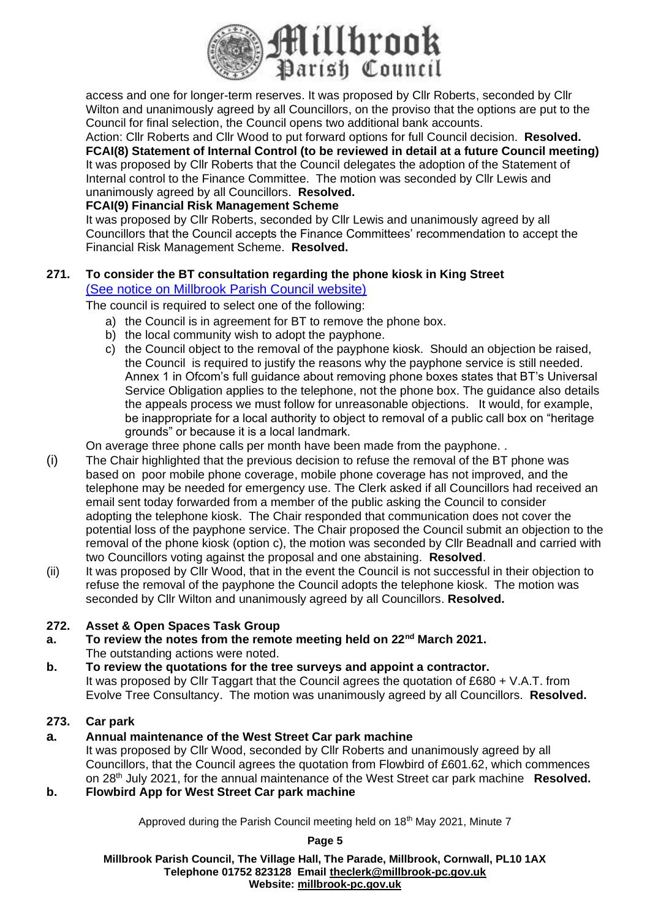

access and one for longer-term reserves. It was proposed by Cllr Roberts, seconded by Cllr Wilton and unanimously agreed by all Councillors, on the proviso that the options are put to the Council for final selection, the Council opens two additional bank accounts.

Action: Cllr Roberts and Cllr Wood to put forward options for full Council decision. **Resolved. FCAI(8) Statement of Internal Control (to be reviewed in detail at a future Council meeting)** It was proposed by Cllr Roberts that the Council delegates the adoption of the Statement of Internal control to the Finance Committee. The motion was seconded by Cllr Lewis and unanimously agreed by all Councillors. **Resolved.**

# **FCAI(9) Financial Risk Management Scheme**

It was proposed by Cllr Roberts, seconded by Cllr Lewis and unanimously agreed by all Councillors that the Council accepts the Finance Committees' recommendation to accept the Financial Risk Management Scheme. **Resolved.**

### **271. To consider the BT consultation regarding the phone kiosk in King Street** [\(See notice on Millbrook Parish Council website\)](https://millbrook-pc.gov.uk/millbrook-payphone-kiosk/)

The council is required to select one of the following:

- a) the Council is in agreement for BT to remove the phone box.
- b) the local community wish to adopt the payphone.
- c) the Council object to the removal of the payphone kiosk. Should an objection be raised, the Council is required to justify the reasons why the payphone service is still needed. Annex 1 in Ofcom's full guidance about removing phone boxes states that BT's Universal Service Obligation applies to the telephone, not the phone box. The guidance also details the appeals process we must follow for unreasonable objections. It would, for example, be inappropriate for a local authority to object to removal of a public call box on "heritage grounds" or because it is a local landmark.

On average three phone calls per month have been made from the payphone. .

- (i) The Chair highlighted that the previous decision to refuse the removal of the BT phone was based on poor mobile phone coverage, mobile phone coverage has not improved, and the telephone may be needed for emergency use. The Clerk asked if all Councillors had received an email sent today forwarded from a member of the public asking the Council to consider adopting the telephone kiosk. The Chair responded that communication does not cover the potential loss of the payphone service. The Chair proposed the Council submit an objection to the removal of the phone kiosk (option c), the motion was seconded by Cllr Beadnall and carried with two Councillors voting against the proposal and one abstaining. **Resolved**.
- (ii) It was proposed by Cllr Wood, that in the event the Council is not successful in their objection to refuse the removal of the payphone the Council adopts the telephone kiosk. The motion was seconded by Cllr Wilton and unanimously agreed by all Councillors. **Resolved.**

# **272. Asset & Open Spaces Task Group**

- **a. To review the notes from the remote meeting held on 22nd March 2021.** The outstanding actions were noted.
- **b. To review the quotations for the tree surveys and appoint a contractor.** It was proposed by Cllr Taggart that the Council agrees the quotation of £680 + V.A.T. from Evolve Tree Consultancy. The motion was unanimously agreed by all Councillors. **Resolved.**

# **273. Car park**

# **a. Annual maintenance of the West Street Car park machine**

It was proposed by Cllr Wood, seconded by Cllr Roberts and unanimously agreed by all Councillors, that the Council agrees the quotation from Flowbird of £601.62, which commences on 28th July 2021, for the annual maintenance of the West Street car park machine **Resolved.**

# **b. Flowbird App for West Street Car park machine**

Approved during the Parish Council meeting held on 18<sup>th</sup> May 2021, Minute 7

**Page 5**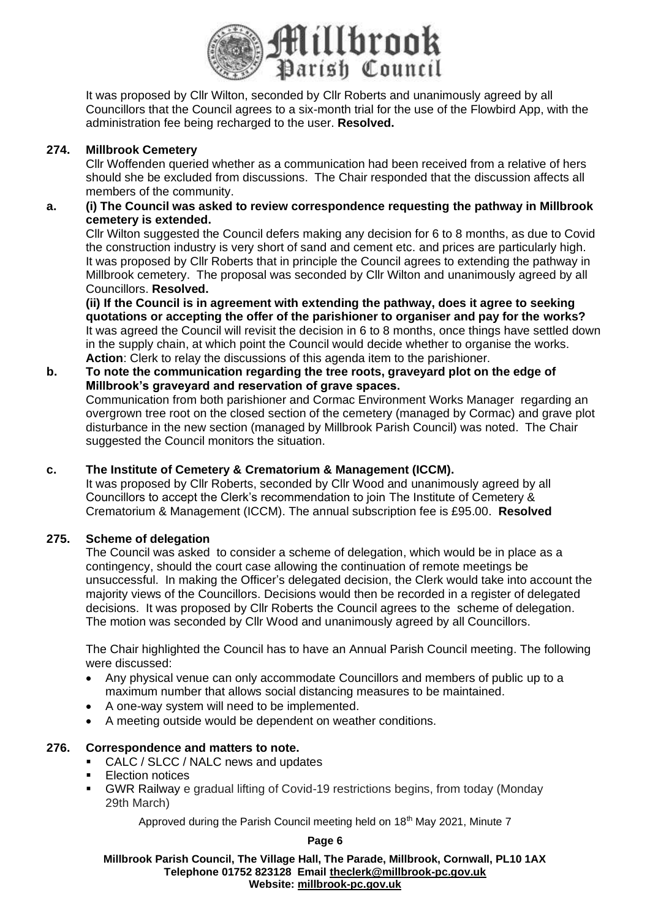

It was proposed by Cllr Wilton, seconded by Cllr Roberts and unanimously agreed by all Councillors that the Council agrees to a six-month trial for the use of the Flowbird App, with the administration fee being recharged to the user. **Resolved.**

# **274. Millbrook Cemetery**

Cllr Woffenden queried whether as a communication had been received from a relative of hers should she be excluded from discussions. The Chair responded that the discussion affects all members of the community.

# **a. (i) The Council was asked to review correspondence requesting the pathway in Millbrook cemetery is extended.**

Cllr Wilton suggested the Council defers making any decision for 6 to 8 months, as due to Covid the construction industry is very short of sand and cement etc. and prices are particularly high. It was proposed by Cllr Roberts that in principle the Council agrees to extending the pathway in Millbrook cemetery. The proposal was seconded by Cllr Wilton and unanimously agreed by all Councillors. **Resolved.**

**(ii) If the Council is in agreement with extending the pathway, does it agree to seeking quotations or accepting the offer of the parishioner to organiser and pay for the works?** It was agreed the Council will revisit the decision in 6 to 8 months, once things have settled down in the supply chain, at which point the Council would decide whether to organise the works. **Action**: Clerk to relay the discussions of this agenda item to the parishioner.

# **b. To note the communication regarding the tree roots, graveyard plot on the edge of Millbrook's graveyard and reservation of grave spaces.**

Communication from both parishioner and Cormac Environment Works Manager regarding an overgrown tree root on the closed section of the cemetery (managed by Cormac) and grave plot disturbance in the new section (managed by Millbrook Parish Council) was noted. The Chair suggested the Council monitors the situation.

# **c. The Institute of Cemetery & Crematorium & Management (ICCM).**

It was proposed by Cllr Roberts, seconded by Cllr Wood and unanimously agreed by all Councillors to accept the Clerk's recommendation to join The Institute of Cemetery & Crematorium & Management (ICCM). The annual subscription fee is £95.00. **Resolved**

# **275. Scheme of delegation**

The Council was asked to consider a scheme of delegation, which would be in place as a contingency, should the court case allowing the continuation of remote meetings be unsuccessful. In making the Officer's delegated decision, the Clerk would take into account the majority views of the Councillors. Decisions would then be recorded in a register of delegated decisions. It was proposed by Cllr Roberts the Council agrees to the scheme of delegation. The motion was seconded by Cllr Wood and unanimously agreed by all Councillors.

The Chair highlighted the Council has to have an Annual Parish Council meeting. The following were discussed:

- Any physical venue can only accommodate Councillors and members of public up to a maximum number that allows social distancing measures to be maintained.
- A one-way system will need to be implemented.
- A meeting outside would be dependent on weather conditions.

# **276. Correspondence and matters to note.**

- CALC / SLCC / NALC news and updates
- **Election notices**
- GWR Railway e gradual lifting of Covid-19 restrictions begins, from today (Monday 29th March)

Approved during the Parish Council meeting held on 18<sup>th</sup> May 2021, Minute 7

#### **Page 6**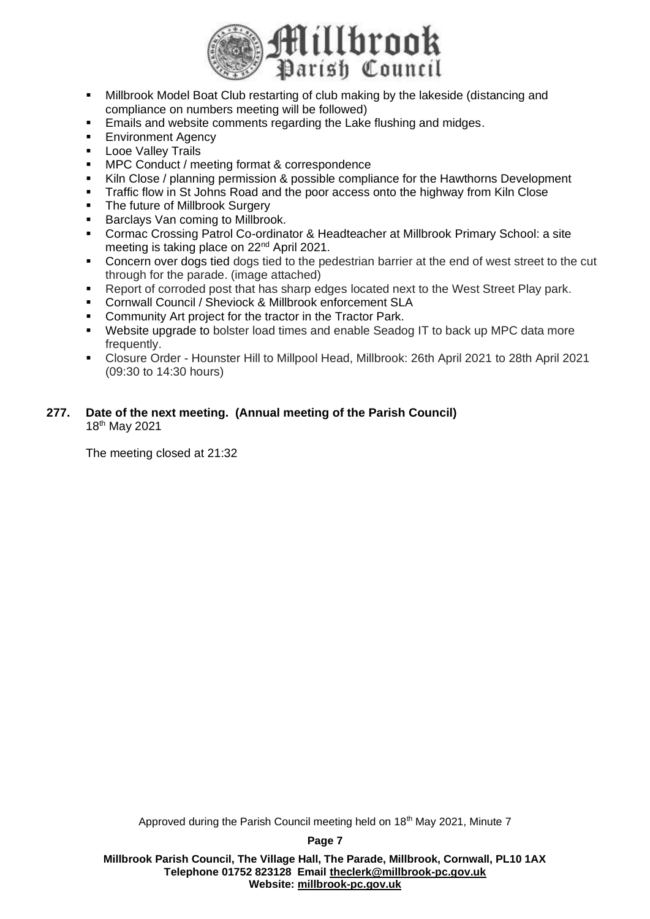

- Millbrook Model Boat Club restarting of club making by the lakeside (distancing and compliance on numbers meeting will be followed)
- Emails and website comments regarding the Lake flushing and midges.
- **Environment Agency**
- **Looe Valley Trails**
- MPC Conduct / meeting format & correspondence
- Kiln Close / planning permission & possible compliance for the Hawthorns Development
- **Traffic flow in St Johns Road and the poor access onto the highway from Kiln Close**
- The future of Millbrook Surgery
- Barclays Van coming to Millbrook.
- Cormac Crossing Patrol Co-ordinator & Headteacher at Millbrook Primary School: a site meeting is taking place on 22<sup>nd</sup> April 2021.
- Concern over dogs tied dogs tied to the pedestrian barrier at the end of west street to the cut through for the parade. (image attached)
- Report of corroded post that has sharp edges located next to the West Street Play park.
- Cornwall Council / Sheviock & Millbrook enforcement SLA
- Community Art project for the tractor in the Tractor Park.
- Website upgrade to bolster load times and enable Seadog IT to back up MPC data more frequently.
- Closure Order Hounster Hill to Millpool Head, Millbrook: 26th April 2021 to 28th April 2021 (09:30 to 14:30 hours)

### **277. Date of the next meeting. (Annual meeting of the Parish Council)** 18th May 2021

The meeting closed at 21:32

Approved during the Parish Council meeting held on 18<sup>th</sup> May 2021, Minute 7

**Page 7**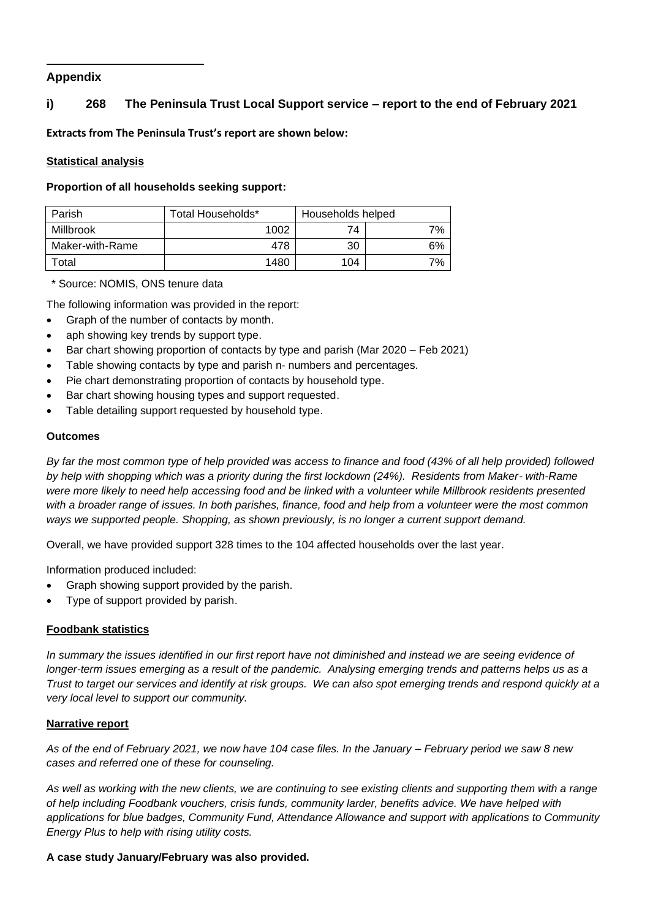# **Appendix**

# **i) 268 The Peninsula Trust Local Support service – report to the end of February 2021**

**Extracts from The Peninsula Trust's report are shown below:**

### **Statistical analysis**

**Proportion of all households seeking support:**

| Parish          | Total Households* | Households helped |    |
|-----------------|-------------------|-------------------|----|
| Millbrook       | 1002              | 74                | 7% |
| Maker-with-Rame | 478               | 30                | 6% |
| Total           | 1480              | 104               | 7% |

\* Source: NOMIS, ONS tenure data

The following information was provided in the report:

- Graph of the number of contacts by month.
- aph showing key trends by support type.
- Bar chart showing proportion of contacts by type and parish (Mar 2020 Feb 2021)
- Table showing contacts by type and parish n- numbers and percentages.
- Pie chart demonstrating proportion of contacts by household type.
- Bar chart showing housing types and support requested.
- Table detailing support requested by household type.

#### **Outcomes**

*By far the most common type of help provided was access to finance and food (43% of all help provided) followed by help with shopping which was a priority during the first lockdown (24%). Residents from Maker- with-Rame were more likely to need help accessing food and be linked with a volunteer while Millbrook residents presented with a broader range of issues. In both parishes, finance, food and help from a volunteer were the most common ways we supported people. Shopping, as shown previously, is no longer a current support demand.* 

Overall, we have provided support 328 times to the 104 affected households over the last year.

Information produced included:

- Graph showing support provided by the parish.
- Type of support provided by parish.

#### **Foodbank statistics**

*In summary the issues identified in our first report have not diminished and instead we are seeing evidence of longer-term issues emerging as a result of the pandemic. Analysing emerging trends and patterns helps us as a Trust to target our services and identify at risk groups. We can also spot emerging trends and respond quickly at a very local level to support our community.*

#### **Narrative report**

*As of the end of February 2021, we now have 104 case files. In the January – February period we saw 8 new cases and referred one of these for counseling.*

*As well as working with the new clients, we are continuing to see existing clients and supporting them with a range of help including Foodbank vouchers, crisis funds, community larder, benefits advice. We have helped with applications for blue badges, Community Fund, Attendance Allowance and support with applications to Community Energy Plus to help with rising utility costs.* 

#### **A case study January/February was also provided.**